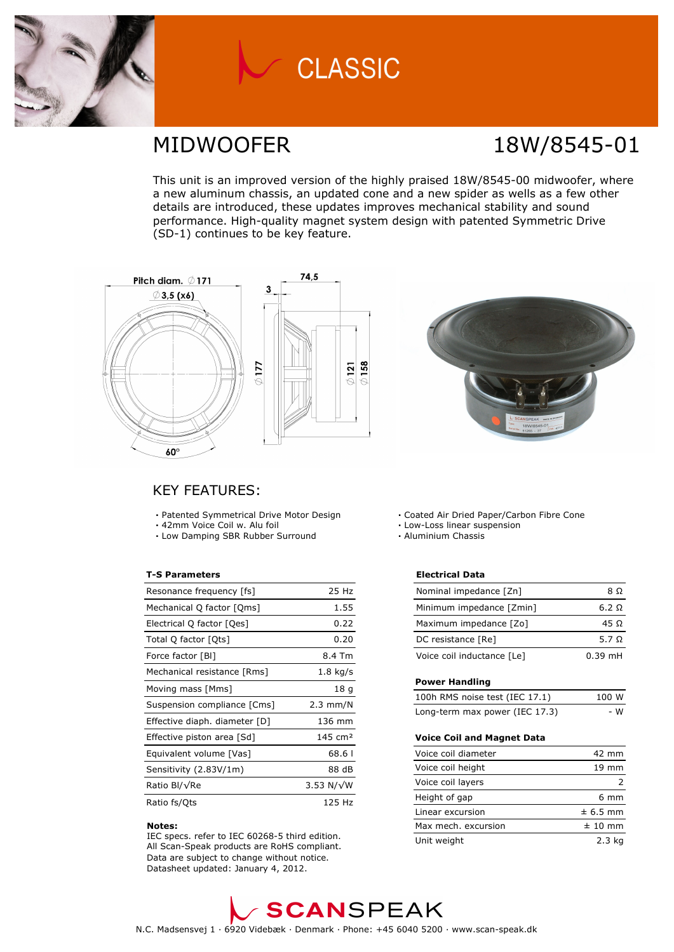

# **CLASSIC**

### MIDWOOFER 18W/8545-01

This unit is an improved version of the highly praised 18W/8545-00 midwoofer, where a new aluminum chassis, an updated cone and a new spider as wells as a few other details are introduced, these updates improves mechanical stability and sound performance. High-quality magnet system design with patented Symmetric Drive (SD-1) continues to be key feature.





### KEY FEATURES:

- **·** Patented Symmetrical Drive Motor Design
- **·** 42mm Voice Coil w. Alu foil
- **·** Low Damping SBR Rubber Surround

### **T-S Parameters**

| Resonance frequency [fs]      | 25 Hz              |
|-------------------------------|--------------------|
| Mechanical Q factor [Qms]     | 1.55               |
| Electrical Q factor [Qes]     | 0.22               |
| Total Q factor [Ots]          | 0.20               |
| Force factor [BI]             | 8.4 Tm             |
| Mechanical resistance [Rms]   | $1.8$ kg/s         |
| Moving mass [Mms]             | 18 g               |
| Suspension compliance [Cms]   | $2.3 \text{ mm/N}$ |
| Effective diaph. diameter [D] | 136 mm             |
| Effective piston area [Sd]    | $145 \text{ cm}^2$ |
| Equivalent volume [Vas]       | 68.61              |
| Sensitivity (2.83V/1m)        | 88 dB              |
| Ratio Bl/√Re                  | 3.53 N/ $\sqrt{W}$ |
| Ratio fs/Qts                  | 125 Hz             |

#### **Notes:**

 IEC specs. refer to IEC 60268-5 third edition. All Scan-Speak products are RoHS compliant. Data are subject to change without notice. Datasheet updated: January 4, 2012.

- **·** Coated Air Dried Paper/Carbon Fibre Cone
- **·** Low-Loss linear suspension
- **·** Aluminium Chassis

#### **Electrical Data**

| Nominal impedance [Zn]     | 8 O          |
|----------------------------|--------------|
| Minimum impedance [Zmin]   | 6.2 $\Omega$ |
| Maximum impedance [Zo]     | 45 O         |
| DC resistance [Re]         | 5.7 $\Omega$ |
| Voice coil inductance [Le] | $0.39$ mH    |

#### **Power Handling**

| 100h RMS noise test (IEC 17.1) | 100 W |
|--------------------------------|-------|
| Long-term max power (IEC 17.3) | - W   |

#### **Voice Coil and Magnet Data**

| Voice coil diameter | 42 mm           |
|---------------------|-----------------|
| Voice coil height   | $19 \text{ mm}$ |
| Voice coil layers   |                 |
| Height of gap       | $6 \text{ mm}$  |
| Linear excursion    | $± 6.5$ mm      |
| Max mech. excursion | $± 10$ mm       |
| Unit weight         | $2.3$ ka        |